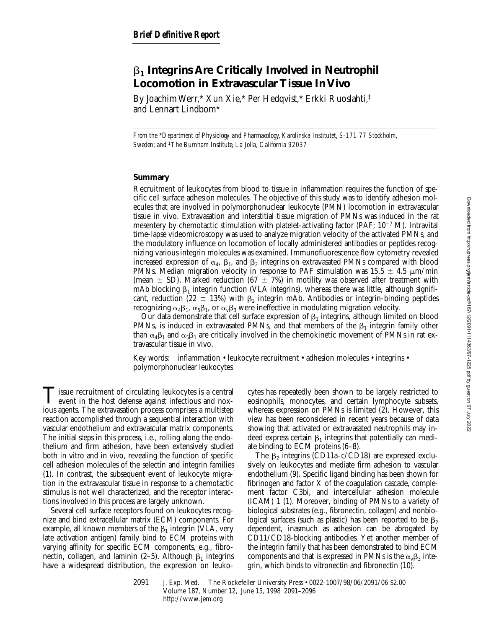# b**1 Integrins Are Critically Involved in Neutrophil Locomotion in Extravascular Tissue In Vivo**

By Joachim Werr,\* Xun Xie,\* Per Hedqvist,\* Erkki Ruoslahti,‡ and Lennart Lindbom\*

*From the* \**Department of Physiology and Pharmacology, Karolinska Institutet, S-171 77 Stockholm, Sweden; and* ‡*The Burnham Institute, La Jolla, California 92037*

# **Summary**

Recruitment of leukocytes from blood to tissue in inflammation requires the function of specific cell surface adhesion molecules. The objective of this study was to identify adhesion molecules that are involved in polymorphonuclear leukocyte (PMN) locomotion in extravascular tissue in vivo. Extravasation and interstitial tissue migration of PMNs was induced in the rat mesentery by chemotactic stimulation with platelet-activating factor (PAF;  $10^{-7}$  M). Intravital time-lapse videomicroscopy was used to analyze migration velocity of the activated PMNs, and the modulatory influence on locomotion of locally administered antibodies or peptides recognizing various integrin molecules was examined. Immunofluorescence flow cytometry revealed increased expression of  $\alpha_4$ ,  $\beta_1$ , and  $\beta_2$  integrins on extravasated PMNs compared with blood PMNs. Median migration velocity in response to PAF stimulation was 15.5  $\pm$  4.5  $\mu$ m/min (mean  $\pm$  SD). Marked reduction (67  $\pm$  7%) in motility was observed after treatment with mAb blocking  $\beta_1$  integrin function (VLA integrins), whereas there was little, although significant, reduction (22  $\pm$  13%) with  $\beta_2$  integrin mAb. Antibodies or integrin-binding peptides recognizing  $\alpha_4\beta_1$ ,  $\alpha_5\beta_1$ , or  $\alpha_v\beta_3$  were ineffective in modulating migration velocity.

Our data demonstrate that cell surface expression of  $\beta_1$  integrins, although limited on blood PMNs, is induced in extravasated PMNs, and that members of the  $\beta_1$  integrin family other than  $\alpha_4\beta_1$  and  $\alpha_5\beta_1$  are critically involved in the chemokinetic movement of PMNs in rat extravascular tissue in vivo.

Key words: inflammation • leukocyte recruitment • adhesion molecules • integrins • polymorphonuclear leukocytes

Tissue recruitment of circulating leukocytes is a central<br>event in the host defense against infectious and nox-<br>issue central The orthousastic properties a multitant ious agents. The extravasation process comprises a multistep reaction accomplished through a sequential interaction with vascular endothelium and extravascular matrix components. The initial steps in this process, i.e., rolling along the endothelium and firm adhesion, have been extensively studied both in vitro and in vivo, revealing the function of specific cell adhesion molecules of the selectin and integrin families (1). In contrast, the subsequent event of leukocyte migration in the extravascular tissue in response to a chemotactic stimulus is not well characterized, and the receptor interactions involved in this process are largely unknown.

Several cell surface receptors found on leukocytes recognize and bind extracellular matrix (ECM) components. For example, all known members of the  $\beta_1$  integrin (VLA, very late activation antigen) family bind to ECM proteins with varying affinity for specific ECM components, e.g., fibronectin, collagen, and laminin (2–5). Although  $\beta_1$  integrins have a widespread distribution, the expression on leukocytes has repeatedly been shown to be largely restricted to eosinophils, monocytes, and certain lymphocyte subsets, whereas expression on PMNs is limited (2). However, this view has been reconsidered in recent years because of data showing that activated or extravasated neutrophils may indeed express certain  $\beta_1$  integrins that potentially can mediate binding to ECM proteins (6–8).

The  $\beta_2$  integrins (CD11a–c/CD18) are expressed exclusively on leukocytes and mediate firm adhesion to vascular endothelium (9). Specific ligand binding has been shown for fibrinogen and factor  $X$  of the coagulation cascade, complement factor C3bi, and intercellular adhesion molecule (ICAM) 1 (1). Moreover, binding of PMNs to a variety of biological substrates (e.g., fibronectin, collagen) and nonbiological surfaces (such as plastic) has been reported to be  $\beta_2$ dependent, inasmuch as adhesion can be abrogated by CD11/CD18-blocking antibodies. Yet another member of the integrin family that has been demonstrated to bind ECM components and that is expressed in PMNs is the  $\alpha_{\nu}\beta_3$  integrin, which binds to vitronectin and fibronectin (10).

2091 J. Exp. Med. The Rockefeller University Press • 0022-1007/98/06/2091/06 \$2.00 Volume 187, Number 12, June 15, 1998 2091–2096 http://www.jem.org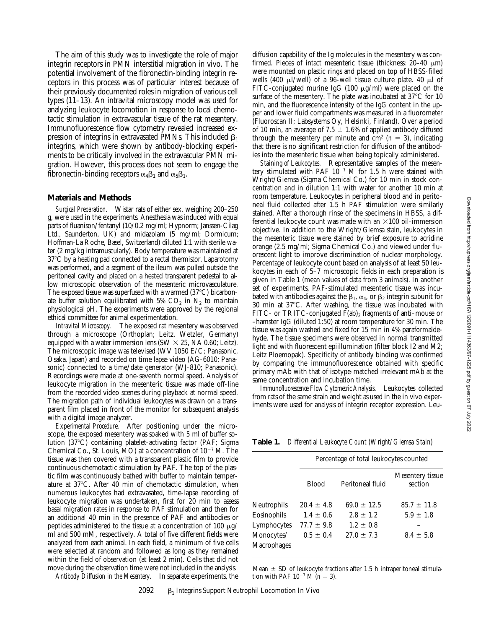The aim of this study was to investigate the role of major integrin receptors in PMN interstitial migration in vivo. The potential involvement of the fibronectin-binding integrin receptors in this process was of particular interest because of their previously documented roles in migration of various cell types (11–13). An intravital microscopy model was used for analyzing leukocyte locomotion in response to local chemotactic stimulation in extravascular tissue of the rat mesentery. Immunofluorescence flow cytometry revealed increased expression of integrins in extravasated PMNs. This included  $\beta_1$ integrins, which were shown by antibody-blocking experiments to be critically involved in the extravascular PMN migration. However, this process does not seem to engage the fibronectin-binding receptors  $\alpha_4\beta_1$  and  $\alpha_5\beta_1$ .

# **Materials and Methods**

*Surgical Preparation.* Wistar rats of either sex, weighing 200–250 g, were used in the experiments. Anesthesia was induced with equal parts of fluanison/fentanyl (10/0.2 mg/ml; Hypnorm; Janssen-Cilag Ltd., Saunderton, UK) and midazolam (5 mg/ml; Dormicum; Hoffman-La Roche, Basel, Switzerland) diluted 1:1 with sterile water (2 mg/kg intramuscularly). Body temperature was maintained at  $37^{\circ}$ C by a heating pad connected to a rectal thermistor. Laparotomy was performed, and a segment of the ileum was pulled outside the peritoneal cavity and placed on a heated transparent pedestal to allow microscopic observation of the mesenteric microvasculature. The exposed tissue was superfused with a warmed  $(37^{\circ}C)$  bicarbonate buffer solution equilibrated with 5%  $CO<sub>2</sub>$  in N<sub>2</sub> to maintain physiological pH. The experiments were approved by the regional ethical committee for animal experimentation.

*Intravital Microscopy.* The exposed rat mesentery was observed through a microscope (Orthoplan; Leitz, Wetzler, Germany) equipped with a water immersion lens (SW  $\times$  25, NA 0.60; Leitz). The microscopic image was televised (WV 1050 E/C; Panasonic, Osaka, Japan) and recorded on time lapse video (AG-6010; Panasonic) connected to a time/date generator (WJ-810; Panasonic). Recordings were made at one-seventh normal speed. Analysis of leukocyte migration in the mesenteric tissue was made off-line from the recorded video scenes during playback at normal speed. The migration path of individual leukocytes was drawn on a transparent film placed in front of the monitor for subsequent analysis with a digital image analyzer.

*Experimental Procedure.* After positioning under the microscope, the exposed mesentery was soaked with 5 ml of buffer solution (37°C) containing platelet-activating factor (PAF; Sigma Chemical Co., St. Louis, MO) at a concentration of  $10^{-7}$  M. The tissue was then covered with a transparent plastic film to provide continuous chemotactic stimulation by PAF. The top of the plastic film was continuously bathed with buffer to maintain temperature at 37°C. After 40 min of chemotactic stimulation, when numerous leukocytes had extravasated, time-lapse recording of leukocyte migration was undertaken, first for 20 min to assess basal migration rates in response to PAF stimulation and then for an additional 40 min in the presence of PAF and antibodies or peptides administered to the tissue at a concentration of 100  $\mu$ g/ ml and 500 mM, respectively. A total of five different fields were analyzed from each animal. In each field, a minimum of five cells were selected at random and followed as long as they remained within the field of observation (at least 2 min). Cells that did not move during the observation time were not included in the analysis. *Antibody Diffusion in the Mesentery.* In separate experiments, the

diffusion capability of the Ig molecules in the mesentery was confirmed. Pieces of intact mesenteric tissue (thickness: 20-40  $\mu$ m) were mounted on plastic rings and placed on top of HBSS-filled wells (400  $\mu$ l/well) of a 96-well tissue culture plate. 40  $\mu$ l of FITC-conjugated murine IgG (100  $\mu$ g/ml) were placed on the surface of the mesentery. The plate was incubated at  $37^{\circ}$ C for 10 min, and the fluorescence intensity of the IgG content in the upper and lower fluid compartments was measured in a fluorometer (Fluoroscan II; Labsystems Oy, Helsinki, Finland). Over a period of 10 min, an average of 7.5  $\pm$  1.6% of applied antibody diffused through the mesentery per minute and  $\text{cm}^2$  ( $n = 3$ ), indicating that there is no significant restriction for diffusion of the antibodies into the mesenteric tissue when being topically administered.

*Staining of Leukocytes.* Representative samples of the mesentery stimulated with PAF  $10^{-7}$  M for 1.5 h were stained with Wright/Giemsa (Sigma Chemical Co.) for 10 min in stock concentration and in dilution 1:1 with water for another 10 min at room temperature. Leukocytes in peripheral blood and in peritoneal fluid collected after 1.5 h PAF stimulation were similarly stained. After a thorough rinse of the specimens in HBSS, a differential leukocyte count was made with an  $\times$ 100 oil-immersion objective. In addition to the Wright/Giemsa stain, leukocytes in the mesenteric tissue were stained by brief exposure to acridine orange (2.5 mg/ml; Sigma Chemical Co.) and viewed under fluorescent light to improve discrimination of nuclear morphology. Percentage of leukocyte count based on analysis of at least 50 leukocytes in each of 5–7 microscopic fields in each preparation is given in Table 1 (mean values of data from 3 animals). In another set of experiments, PAF-stimulated mesenteric tissue was incubated with antibodies against the  $\beta_1$ ,  $\alpha_4$ , or  $\beta_2$  integrin subunit for 30 min at  $37^{\circ}$ C. After washing, the tissue was incubated with FITC- or TRITC-conjugated  $F(ab)_2$  fragments of anti–mouse or –hamster IgG (diluted 1:50) at room temperature for 30 min. The tissue was again washed and fixed for 15 min in 4% paraformaldehyde. The tissue specimens were observed in normal transmitted light and with fluorescent epiillumination (filter block I2 and M2; Leitz Ploemopak). Specificity of antibody binding was confirmed by comparing the immunofluorescence obtained with specific primary mAb with that of isotype-matched irrelevant mAb at the same concentration and incubation time.

*Immunofluorescence Flow Cytometric Analysis.* Leukocytes collected from rats of the same strain and weight as used in the in vivo experiments were used for analysis of integrin receptor expression. Leu-

**Table 1.** *Differential Leukocyte Count (Wright/Giemsa Stain)*

|                           | Percentage of total leukocytes counted |                  |                             |
|---------------------------|----------------------------------------|------------------|-----------------------------|
|                           | <b>Blood</b>                           | Peritoneal fluid | Mesentery tissue<br>section |
| Neutrophils               | $20.4 + 4.8$                           | $69.0 \pm 12.5$  | $85.7 \pm 11.8$             |
| Eosinophils               | $1.4 \pm 0.6$                          | $2.8 \pm 1.2$    | $5.9 \pm 1.8$               |
| Lymphocytes               | $77.7 \pm 9.8$                         | $1.2 \pm 0.8$    |                             |
| Monocytes/<br>Macrophages | $0.5 \pm 0.4$                          | $27.0 \pm 7.3$   | $8.4 \pm 5.8$               |

Mean  $\pm$  SD of leukocyte fractions after 1.5 h intraperitoneal stimulation with PAF  $10^{-7}$  M ( $n = 3$ ).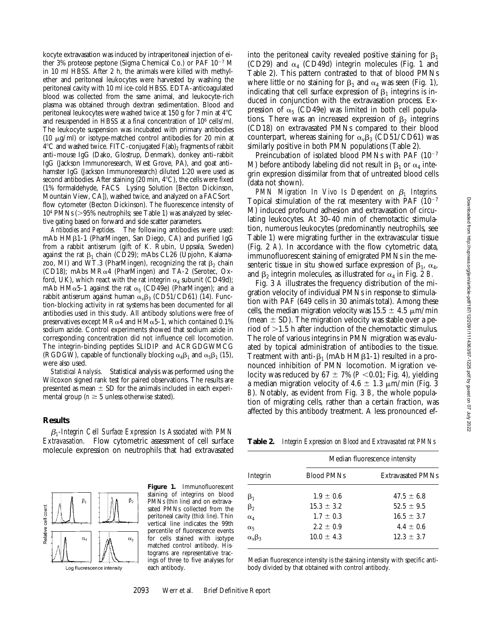kocyte extravasation was induced by intraperitoneal injection of either 3% proteose peptone (Sigma Chemical Co.) or PAF  $10^{-7}$  M in 10 ml HBSS. After 2 h, the animals were killed with methylether and peritoneal leukocytes were harvested by washing the peritoneal cavity with 10 ml ice-cold HBSS. EDTA-anticoagulated blood was collected from the same animal, and leukocyte-rich plasma was obtained through dextran sedimentation. Blood and peritoneal leukocytes were washed twice at 150 g for 7 min at  $4^{\circ}$ C and resuspended in HBSS at a final concentration of 106 cells/ml. The leukocyte suspension was incubated with primary antibodies (10  $\mu$ g/ml) or isotype-matched control antibodies for 20 min at  $4^{\circ}$ C and washed twice. FITC-conjugated  $F(ab)_2$  fragments of rabbit anti–mouse IgG (Dako, Glostrup, Denmark), donkey anti–rabbit IgG (Jackson Immunoresearch, West Grove, PA), and goat anti– hamster IgG (Jackson Immunoresearch) diluted 1:20 were used as second antibodies. After staining (20 min,  $4^{\circ}$ C), the cells were fixed (1% formaldehyde, FACS® Lysing Solution [Becton Dickinson, Mountain View, CA]), washed twice, and analyzed on a FACSort<sup>®</sup> flow cytometer (Becton Dickinson). The fluorescence intensity of  $10<sup>4</sup>$  PMNs ( $>95%$  neutrophils; see Table 1) was analyzed by selective gating based on forward and side scatter parameters.

*Antibodies and Peptides.* The following antibodies were used: mAb  $HM\beta1-1$  (PharMingen, San Diego, CA) and purified IgG from a rabbit antiserum (gift of K. Rubin, Uppsala, Sweden) against the rat  $\beta_1$  chain (CD29); mAbs CL26 (Upjohn, Kalamazoo, MI) and WT.3 (PharMingen), recognizing the rat  $\beta_2$  chain (CD18); mAbs MR $\alpha$ 4 (PharMingen) and TA-2 (Serotec, Oxford, UK), which react with the rat integrin  $\alpha_4$  subunit (CD49d); mAb HM $\alpha$ 5-1 against the rat  $\alpha_5$  (CD49e) (PharMingen); and a rabbit antiserum against human  $\alpha_v\beta_3$  (CD51/CD61) (14). Function-blocking activity in rat systems has been documented for all antibodies used in this study. All antibody solutions were free of preservatives except MR $\alpha$ 4 and HM $\alpha$ 5-1, which contained 0.1% sodium azide. Control experiments showed that sodium azide in corresponding concentration did not influence cell locomotion. The integrin-binding peptides SLIDIP and ACRGDGWMCG (RGDGW), capable of functionally blocking  $\alpha_4\beta_1$  and  $\alpha_5\beta_1$  (15), were also used.

*Statistical Analysis.* Statistical analysis was performed using the Wilcoxon signed rank test for paired observations. The results are presented as mean  $\pm$  SD for the animals included in each experimental group ( $n \geq 5$  unless otherwise stated).

#### **Results**

b*1-Integrin Cell Surface Expression Is Associated with PMN Extravasation.* Flow cytometric assessment of cell surface molecule expression on neutrophils that had extravasated



**Figure 1.** Immunofluorescent staining of integrins on blood PMNs (*thin line*) and on extravasated PMNs collected from the peritoneal cavity (*thick line*). Thin vertical line indicates the 99th percentile of fluorescence events for cells stained with isotype matched control antibody. Histograms are representative tracings of three to five analyses for each antibody.

into the peritoneal cavity revealed positive staining for  $\beta_1$ (CD29) and  $\alpha_4$  (CD49d) integrin molecules (Fig. 1 and Table 2). This pattern contrasted to that of blood PMNs where little or no staining for  $\beta_1$  and  $\alpha_4$  was seen (Fig. 1), indicating that cell surface expression of  $\beta_1$  integrins is induced in conjunction with the extravasation process. Expression of  $\alpha_5$  (CD49e) was limited in both cell populations. There was an increased expression of  $\beta_2$  integrins (CD18) on extravasated PMNs compared to their blood counterpart, whereas staining for  $\alpha_{\nu}\beta_3$  (CD51/CD61) was similarly positive in both PMN populations (Table 2).

Preincubation of isolated blood PMNs with PAF  $(10^{-7}$ M) before antibody labeling did not result in  $\beta_1$  or  $\alpha_4$  integrin expression dissimilar from that of untreated blood cells (data not shown).

*PMN Migration In Vivo Is Dependent on*  $\beta_1$  *Integrins.* Topical stimulation of the rat mesentery with PAF  $(10^{-7})$ M) induced profound adhesion and extravasation of circulating leukocytes. At 30–40 min of chemotactic stimulation, numerous leukocytes (predominantly neutrophils, see Table 1) were migrating further in the extravascular tissue (Fig. 2 *A*). In accordance with the flow cytometric data, immunofluorescent staining of emigrated PMNs in the mesenteric tissue in situ showed surface expression of  $\beta_1$ ,  $\alpha_4$ , and  $\beta_2$  integrin molecules, as illustrated for  $\alpha_4$  in Fig. 2 *B*.

Fig. 3 *A* illustrates the frequency distribution of the migration velocity of individual PMNs in response to stimulation with PAF (649 cells in 30 animals total). Among these cells, the median migration velocity was  $15.5 \pm 4.5 \mu m/min$ (mean  $\pm$  SD). The migration velocity was stable over a period of  $>1.5$  h after induction of the chemotactic stimulus. The role of various integrins in PMN migration was evaluated by topical administration of antibodies to the tissue. Treatment with anti- $\beta_1$  (mAb HM $\beta_1$ -1) resulted in a pronounced inhibition of PMN locomotion. Migration velocity was reduced by  $67 \pm 7\%$  ( $P < 0.01$ ; Fig. 4), yielding a median migration velocity of 4.6  $\pm$  1.3  $\mu$ m/min (Fig. 3 *B*). Notably, as evident from Fig. 3 *B*, the whole population of migrating cells, rather than a certain fraction, was affected by this antibody treatment. A less pronounced ef-

**Table 2.** *Integrin Expression on Blood and Extravasated rat PMNs*

| Integrin           | Median fluorescence intensity |                          |  |
|--------------------|-------------------------------|--------------------------|--|
|                    | <b>Blood PMNs</b>             | <b>Extravasated PMNs</b> |  |
| $\beta_1$          | $1.9 \pm 0.6$                 | $47.5 \pm 6.8$           |  |
| $\beta_2$          | $15.3 \pm 3.2$                | $52.5 \pm 9.5$           |  |
| $\alpha_4$         | $1.7 \pm 0.3$                 | $16.5 \pm 3.7$           |  |
| $\alpha_5$         | $2.2 \pm 0.9$                 | $4.4 \pm 0.6$            |  |
| $\alpha_v \beta_3$ | $10.0 \pm 4.3$                | $12.3 \pm 3.7$           |  |
|                    |                               |                          |  |

Median fluorescence intensity is the staining intensity with specific antibody divided by that obtained with control antibody.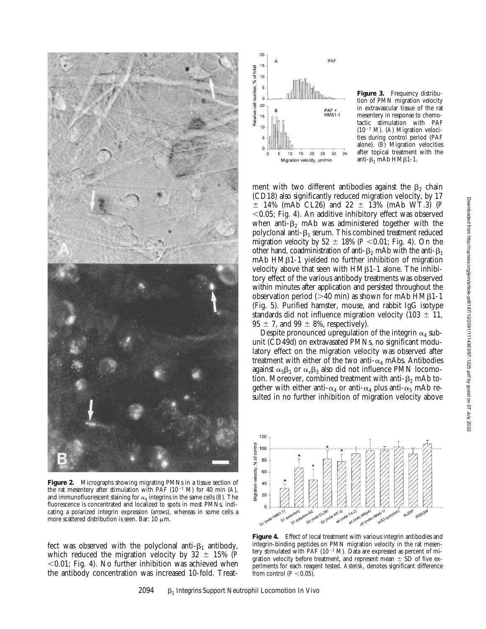

**Figure 2.** Micrographs showing migrating PMNs in a tissue section of the rat mesentery after stimulation with PAF  $(10^{-7}$  M) for 40 min (*A*), and immunofluorescent staining for  $\alpha_4$  integrins in the same cells (*B*). The fluorescence is concentrated and localized to spots in most PMNs, indicating a polarized integrin expression (*arrows*), whereas in some cells a more scattered distribution is seen. Bar: 10  $\mu$ m.

fect was observed with the polyclonal anti- $\beta_1$  antibody, which reduced the migration velocity by  $32 \pm 15\%$  (*P*  $<$ 0.01; Fig. 4). No further inhibition was achieved when the antibody concentration was increased 10-fold. Treat-



**Figure 3.** Frequency distribution of PMN migration velocity in extravascular tissue of the rat mesentery in response to chemotactic stimulation with PAF  $(10^{-7}$  M). *(A)* Migration velocities during control period (PAF alone). (*B*) Migration velocities after topical treatment with the anti- $\beta_1$  mAb HM $\beta$ 1-1.

ment with two different antibodies against the  $\beta_2$  chain (CD18) also significantly reduced migration velocity, by 17  $\pm$  14% (mAb CL26) and 22  $\pm$  13% (mAb WT.3) (*P*  $<$ 0.05; Fig. 4). An additive inhibitory effect was observed when anti- $\beta$ <sub>2</sub> mAb was administered together with the polyclonal anti- $\beta_1$  serum. This combined treatment reduced migration velocity by  $52 \pm 18\%$  ( $P < 0.01$ ; Fig. 4). On the other hand, coadministration of anti- $\beta_2$  mAb with the anti- $\beta_1$  $mAb$  HM $\beta$ 1-1 yielded no further inhibition of migration velocity above that seen with  $HM\beta1-1$  alone. The inhibitory effect of the various antibody treatments was observed within minutes after application and persisted throughout the observation period ( $>40$  min) as shown for mAb HM $\beta$ 1-1 (Fig. 5). Purified hamster, mouse, and rabbit IgG isotype standards did not influence migration velocity (103  $\pm$  11,  $95 \pm 7$ , and  $99 \pm 8$ %, respectively).

Despite pronounced upregulation of the integrin  $\alpha_4$  subunit (CD49d) on extravasated PMNs, no significant modulatory effect on the migration velocity was observed after treatment with either of the two anti- $\alpha_4$  mAbs. Antibodies against  $\alpha_5\beta_1$  or  $\alpha_v\beta_3$  also did not influence PMN locomotion. Moreover, combined treatment with anti- $\beta_2$  mAb together with either anti- $\alpha_4$  or anti- $\alpha_4$  plus anti- $\alpha_5$  mAb resulted in no further inhibition of migration velocity above



Figure 4. Effect of local treatment with various integrin antibodies and integrin-binding peptides on PMN migration velocity in the rat mesentery stimulated with PAF ( $10^{-7}$  M). Data are expressed as percent of migration velocity before treatment, and represent mean  $\pm$  SD of five experiments for each reagent tested. *Asterisk*, denotes significant difference from control  $(P<0.05)$ .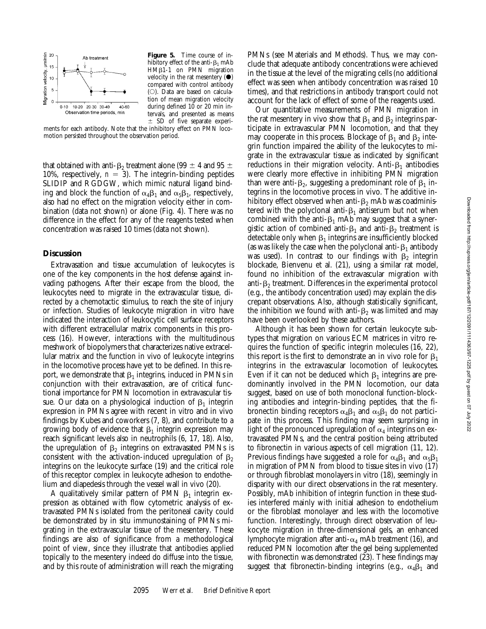

**Figure 5.** Time course of inhibitory effect of the anti- $\beta_1$  mAb HM<sub>B1-1</sub> on PMN migration velocity in the rat mesentery  $(\bullet)$ compared with control antibody  $(O)$ . Data are based on calculation of mean migration velocity during defined  $10$  or  $20$  min intervals, and presented as means  $\pm$  SD of five separate experi-

ments for each antibody. Note that the inhibitory effect on PMN locomotion persisted throughout the observation period.

that obtained with anti- $\beta_2$  treatment alone (99  $\pm$  4 and 95  $\pm$ 10%, respectively,  $n = 3$ ). The integrin-binding peptides SLIDIP and RGDGW, which mimic natural ligand binding and block the function of  $\alpha_4\beta_1$  and  $\alpha_5\beta_1$ , respectively, also had no effect on the migration velocity either in combination (data not shown) or alone (Fig. 4). There was no difference in the effect for any of the reagents tested when concentration was raised 10 times (data not shown).

## **Discussion**

Extravasation and tissue accumulation of leukocytes is one of the key components in the host defense against invading pathogens. After their escape from the blood, the leukocytes need to migrate in the extravascular tissue, directed by a chemotactic stimulus, to reach the site of injury or infection. Studies of leukocyte migration in vitro have indicated the interaction of leukocytic cell surface receptors with different extracellular matrix components in this process (16). However, interactions with the multitudinous meshwork of biopolymers that characterizes native extracellular matrix and the function in vivo of leukocyte integrins in the locomotive process have yet to be defined. In this report, we demonstrate that  $\beta_1$  integrins, induced in PMNs in conjunction with their extravasation, are of critical functional importance for PMN locomotion in extravascular tissue. Our data on a physiological induction of  $\beta_1$  integrin expression in PMNs agree with recent in vitro and in vivo findings by Kubes and coworkers (7, 8), and contribute to a growing body of evidence that  $\beta_1$  integrin expression may reach significant levels also in neutrophils (6, 17, 18). Also, the upregulation of  $\beta_2$  integrins on extravasated PMNs is consistent with the activation-induced upregulation of  $\beta_2$ integrins on the leukocyte surface (19) and the critical role of this receptor complex in leukocyte adhesion to endothelium and diapedesis through the vessel wall in vivo (20).

A qualitatively similar pattern of PMN  $\beta_1$  integrin expression as obtained with flow cytometric analysis of extravasated PMNs isolated from the peritoneal cavity could be demonstrated by in situ immunostaining of PMNs migrating in the extravascular tissue of the mesentery. These findings are also of significance from a methodological point of view, since they illustrate that antibodies applied topically to the mesentery indeed do diffuse into the tissue, and by this route of administration will reach the migrating

PMNs (see Materials and Methods). Thus, we may conclude that adequate antibody concentrations were achieved in the tissue at the level of the migrating cells (no additional effect was seen when antibody concentration was raised 10 times), and that restrictions in antibody transport could not account for the lack of effect of some of the reagents used.

Our quantitative measurements of PMN migration in the rat mesentery in vivo show that  $\beta_1$  and  $\beta_2$  integrins participate in extravascular PMN locomotion, and that they may cooperate in this process. Blockage of  $\beta_1$  and  $\beta_2$  integrin function impaired the ability of the leukocytes to migrate in the extravascular tissue as indicated by significant reductions in their migration velocity. Anti- $\beta_1$  antibodies were clearly more effective in inhibiting PMN migration than were anti- $\beta_2$ , suggesting a predominant role of  $\beta_1$  integrins in the locomotive process in vivo. The additive inhibitory effect observed when anti- $\beta_2$  mAb was coadministered with the polyclonal anti- $\beta_1$  antiserum but not when combined with the anti- $\beta_1$  mAb may suggest that a synergistic action of combined anti- $\beta_1$  and anti- $\beta_2$  treatment is detectable only when  $\beta_1$  integrins are insufficiently blocked (as was likely the case when the polyclonal anti- $\beta_1$  antibody was used). In contrast to our findings with  $\beta_2$  integrin blockade, Bienvenu et al. (21), using a similar rat model, found no inhibition of the extravascular migration with anti- $\beta_2$  treatment. Differences in the experimental protocol (e.g., the antibody concentration used) may explain the discrepant observations. Also, although statistically significant, the inhibition we found with anti- $\beta_2$  was limited and may have been overlooked by these authors.

Although it has been shown for certain leukocyte subtypes that migration on various ECM matrices in vitro requires the function of specific integrin molecules (16, 22), this report is the first to demonstrate an in vivo role for  $\beta_1$ integrins in the extravascular locomotion of leukocytes. Even if it can not be deduced which  $\beta_1$  integrins are predominantly involved in the PMN locomotion, our data suggest, based on use of both monoclonal function-blocking antibodies and integrin-binding peptides, that the fibronectin binding receptors  $\alpha_4\beta_1$  and  $\alpha_5\beta_1$  do not participate in this process. This finding may seem surprising in light of the pronounced upregulation of  $\alpha_4$  integrins on extravasated PMNs, and the central position being attributed to fibronectin in various aspects of cell migration (11, 12). Previous findings have suggested a role for  $\alpha_4\beta_1$  and  $\alpha_5\beta_1$ in migration of PMN from blood to tissue sites in vivo (17) or through fibroblast monolayers in vitro (18), seemingly in disparity with our direct observations in the rat mesentery. Possibly, mAb inhibition of integrin function in these studies interfered mainly with initial adhesion to endothelium or the fibroblast monolayer and less with the locomotive function. Interestingly, through direct observation of leukocyte migration in three-dimensional gels, an enhanced lymphocyte migration after anti- $\alpha_4$  mAb treatment (16), and reduced PMN locomotion after the gel being supplemented with fibronectin was demonstrated (23). These findings may suggest that fibronectin-binding integrins (e.g.,  $\alpha_4\beta_1$  and